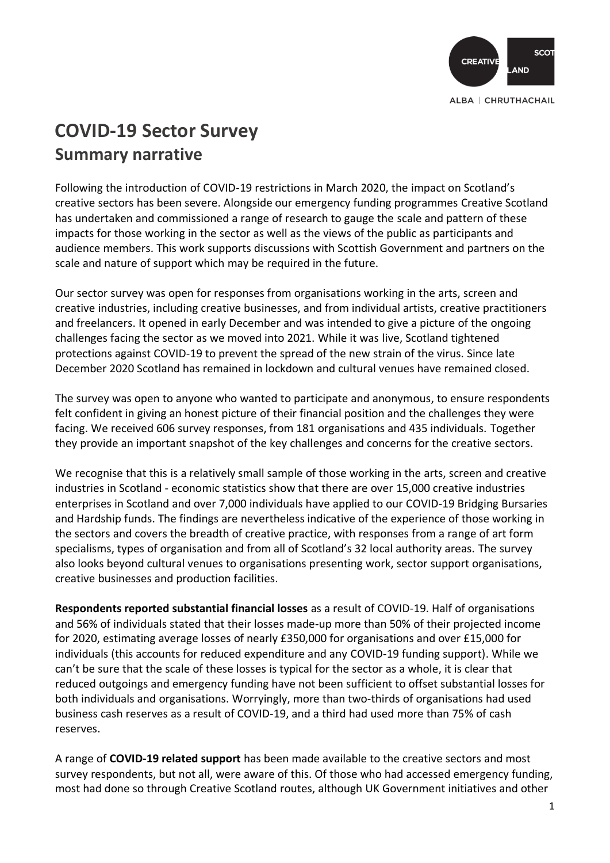

## **COVID-19 Sector Survey Summary narrative**

Following the introduction of COVID-19 restrictions in March 2020, the impact on Scotland's creative sectors has been severe. Alongside our emergency funding programmes Creative Scotland has undertaken and commissioned a range of research to gauge the scale and pattern of these impacts for those working in the sector as well as the views of the public as participants and audience members. This work supports discussions with Scottish Government and partners on the scale and nature of support which may be required in the future.

Our sector survey was open for responses from organisations working in the arts, screen and creative industries, including creative businesses, and from individual artists, creative practitioners and freelancers. It opened in early December and was intended to give a picture of the ongoing challenges facing the sector as we moved into 2021. While it was live, Scotland tightened protections against COVID-19 to prevent the spread of the new strain of the virus. Since late December 2020 Scotland has remained in lockdown and cultural venues have remained closed.

The survey was open to anyone who wanted to participate and anonymous, to ensure respondents felt confident in giving an honest picture of their financial position and the challenges they were facing. We received 606 survey responses, from 181 organisations and 435 individuals. Together they provide an important snapshot of the key challenges and concerns for the creative sectors.

We recognise that this is a relatively small sample of those working in the arts, screen and creative industries in Scotland - economic statistics show that there are over 15,000 creative industries enterprises in Scotland and over 7,000 individuals have applied to our COVID-19 Bridging Bursaries and Hardship funds. The findings are nevertheless indicative of the experience of those working in the sectors and covers the breadth of creative practice, with responses from a range of art form specialisms, types of organisation and from all of Scotland's 32 local authority areas. The survey also looks beyond cultural venues to organisations presenting work, sector support organisations, creative businesses and production facilities.

**Respondents reported substantial financial losses** as a result of COVID-19. Half of organisations and 56% of individuals stated that their losses made-up more than 50% of their projected income for 2020, estimating average losses of nearly £350,000 for organisations and over £15,000 for individuals (this accounts for reduced expenditure and any COVID-19 funding support). While we can't be sure that the scale of these losses is typical for the sector as a whole, it is clear that reduced outgoings and emergency funding have not been sufficient to offset substantial losses for both individuals and organisations. Worryingly, more than two-thirds of organisations had used business cash reserves as a result of COVID-19, and a third had used more than 75% of cash reserves.

A range of **COVID-19 related support** has been made available to the creative sectors and most survey respondents, but not all, were aware of this. Of those who had accessed emergency funding, most had done so through Creative Scotland routes, although UK Government initiatives and other